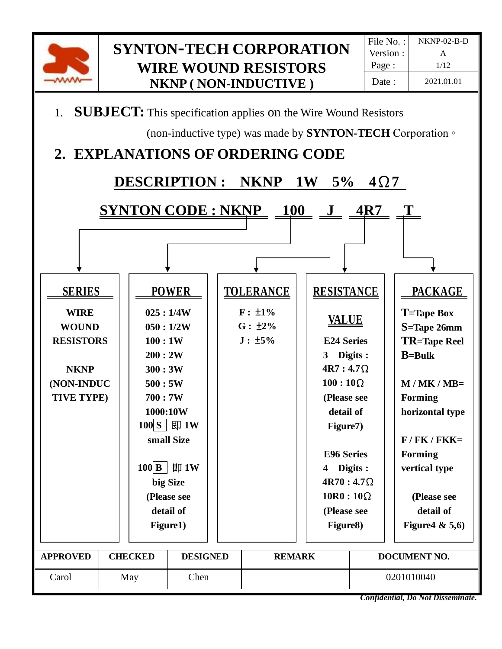

Version : Page : 1/12 Date : 2021.01.01



(non-inductive type) was made by **SYNTON-TECH** Corporation ◦

## **2. EXPLANATIONS OF ORDERING CODE**





| <b>SERIES</b>               |             |                | <b>POWER</b>         |  | <b>TOLERANCE</b>             |  | <b>RESISTANCE</b> |            | <b>PACKAGE</b>                    |  |
|-----------------------------|-------------|----------------|----------------------|--|------------------------------|--|-------------------|------------|-----------------------------------|--|
| <b>WIRE</b><br><b>WOUND</b> |             |                | 025:1/4W<br>050:1/2W |  | $F: \pm 1\%$<br>$G: \pm 2\%$ |  | <u>VALUE</u>      |            | <b>T</b> =Tape Box<br>S=Tape 26mm |  |
| <b>RESISTORS</b>            |             | 100:1W         |                      |  | $J: \pm 5\%$                 |  | <b>E24 Series</b> |            | <b>TR=Tape Reel</b>               |  |
|                             |             | 200:2W         |                      |  |                              |  | $3^{\circ}$       | Digits :   | $B = Bulk$                        |  |
| <b>NKNP</b>                 |             | 300:3W         |                      |  |                              |  | $4R7:4.7\Omega$   |            |                                   |  |
| (NON-INDUC                  |             | 500:5W         |                      |  |                              |  | $100:10\Omega$    |            | $M / MK / MB =$                   |  |
| TIVE TYPE)                  |             | 700:7W         |                      |  |                              |  | (Please see       |            | <b>Forming</b>                    |  |
|                             |             | 1000:10W       |                      |  |                              |  | detail of         |            | horizontal type                   |  |
|                             |             |                | 100 S   即 1W         |  |                              |  | Figure7)          |            |                                   |  |
|                             |             |                | small Size           |  |                              |  |                   |            | $F / FK / FKK =$                  |  |
|                             |             |                |                      |  |                              |  | <b>E96 Series</b> |            | <b>Forming</b>                    |  |
|                             |             | $100$ B<br>即1W |                      |  |                              |  | Digits :          |            | vertical type                     |  |
|                             |             |                | big Size             |  |                              |  | $4R70:4.7\Omega$  |            |                                   |  |
|                             |             |                | (Please see          |  |                              |  | $10R0:10\Omega$   |            | (Please see                       |  |
|                             |             | detail of      |                      |  | (Please see                  |  |                   | detail of  |                                   |  |
|                             |             |                | Figure1)             |  |                              |  | Figure8)          |            | Figure 4 & $5,6$ )                |  |
|                             |             |                |                      |  |                              |  |                   |            |                                   |  |
| <b>APPROVED</b>             |             | <b>CHECKED</b> | <b>DESIGNED</b>      |  | <b>REMARK</b>                |  |                   |            | <b>DOCUMENT NO.</b>               |  |
| Carol                       | Chen<br>May |                |                      |  |                              |  |                   | 0201010040 |                                   |  |
|                             |             |                |                      |  |                              |  |                   |            | Confidential, Do Not Disseminate. |  |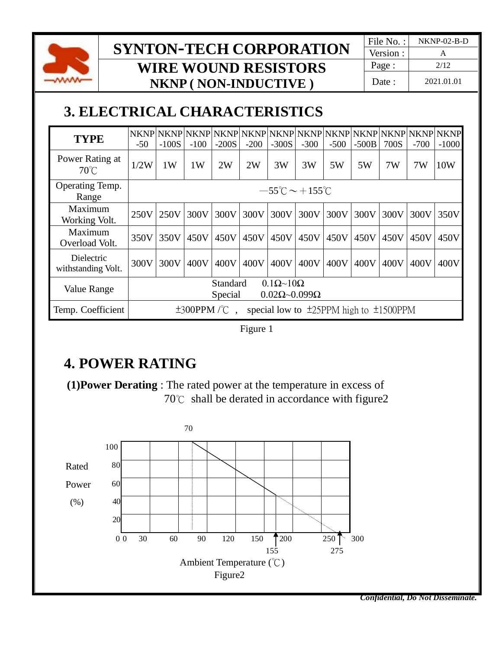

Version : Page : 2/12 Date : 2021.01.01

# **3. ELECTRICAL CHARACTERISTICS**

| <b>TYPE</b>                       | $-50$ | $-100S$                                                                         | $-100$            | $-200S$ | $-200$ | $-300S$ | $-300$ | $-500$                                           | $-500B$ | 700S | $-700$ | $-1000$ |
|-----------------------------------|-------|---------------------------------------------------------------------------------|-------------------|---------|--------|---------|--------|--------------------------------------------------|---------|------|--------|---------|
| Power Rating at<br>$70^{\circ}$ C | 1/2W  | 1W                                                                              | 1W                | 2W      | 2W     | 3W      | 3W     | 5W                                               | 5W      | 7W   | 7W     | 10W     |
| Operating Temp.<br>Range          |       | $-55^{\circ}$ C $\sim$ +155 $^{\circ}$ C                                        |                   |         |        |         |        |                                                  |         |      |        |         |
| Maximum<br>Working Volt.          | 250V  | 250V                                                                            | 300V              | 300V    | 300V   | 300V    | 300V   | 300V                                             | 300V    | 300V | 300V   | 350V    |
| Maximum<br>Overload Volt.         | 350V  | 350V                                                                            | 450V              | 450V    | 450V   | 450V    | 450V   | 450V                                             | 450V    | 450V | 450V   | 450V    |
| Dielectric<br>withstanding Volt.  | 300V  | 300V                                                                            | 400V              | 400V    | 400V   | 400V    | 400V   | 400V                                             | 400V    | 400V | 400V   | 400V    |
| Value Range                       |       | $0.1\Omega \sim 10\Omega$<br>Standard<br>$0.02\Omega\sim0.099\Omega$<br>Special |                   |         |        |         |        |                                                  |         |      |        |         |
| Temp. Coefficient                 |       |                                                                                 | $\pm 300$ PPM/°C. |         |        |         |        | special low to $\pm$ 25PPM high to $\pm$ 1500PPM |         |      |        |         |

Figure 1

## **4. POWER RATING**

 **(1)Power Derating** : The rated power at the temperature in excess of 70℃ shall be derated in accordance with figure2

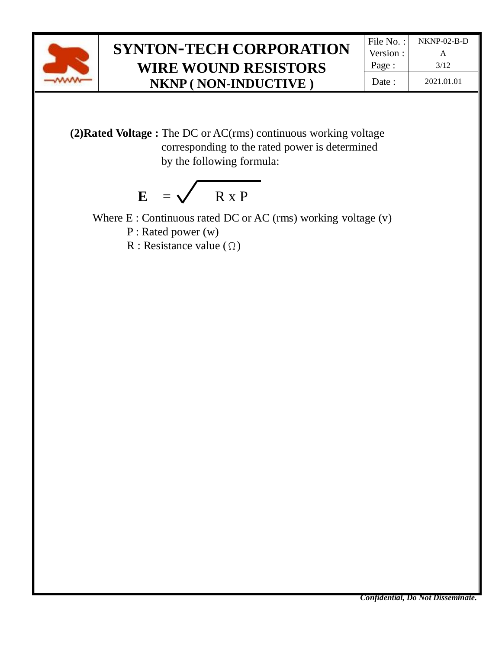

Version : Page : 3/12 Date : 2021.01.01

 **(2)Rated Voltage :** The DC or AC(rms) continuous working voltage corresponding to the rated power is determined by the following formula:

$$
E = \sqrt{R \times P}
$$

Where E : Continuous rated DC or AC (rms) working voltage (v)

P : Rated power (w)

R : Resistance value  $(\Omega)$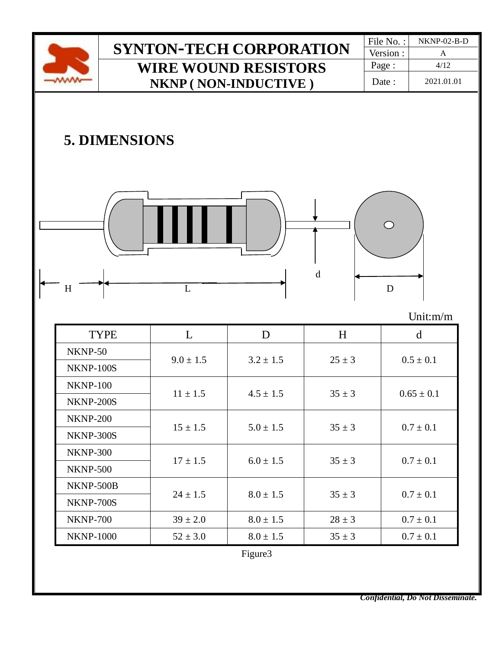| ï          |  |
|------------|--|
| $\sim$ $-$ |  |

Version : Page : 4/12 Date : 2021.01.01

# **5. DIMENSIONS**



#### Unit:m/m

| <b>TYPE</b>      | L             | D             | H          | d              |  |
|------------------|---------------|---------------|------------|----------------|--|
| NKNP-50          |               |               | $25 \pm 3$ |                |  |
| NKNP-100S        | $9.0 \pm 1.5$ | $3.2 \pm 1.5$ |            | $0.5 \pm 0.1$  |  |
| <b>NKNP-100</b>  |               | $4.5 \pm 1.5$ | $35 \pm 3$ |                |  |
| NKNP-200S        | $11 \pm 1.5$  |               |            | $0.65 \pm 0.1$ |  |
| <b>NKNP-200</b>  |               |               |            | $0.7 \pm 0.1$  |  |
| NKNP-300S        | $15 \pm 1.5$  | $5.0 \pm 1.5$ | $35 \pm 3$ |                |  |
| <b>NKNP-300</b>  | $17 \pm 1.5$  | $6.0 \pm 1.5$ | $35 \pm 3$ |                |  |
| <b>NKNP-500</b>  |               |               |            | $0.7 \pm 0.1$  |  |
| NKNP-500B        |               |               |            |                |  |
| <b>NKNP-700S</b> | $24 \pm 1.5$  | $8.0 \pm 1.5$ | $35 \pm 3$ | $0.7 \pm 0.1$  |  |
| <b>NKNP-700</b>  | $39 \pm 2.0$  | $8.0 \pm 1.5$ | $28 \pm 3$ | $0.7 \pm 0.1$  |  |
| <b>NKNP-1000</b> | $52 \pm 3.0$  | $8.0 \pm 1.5$ | $35 \pm 3$ | $0.7 \pm 0.1$  |  |

Figure3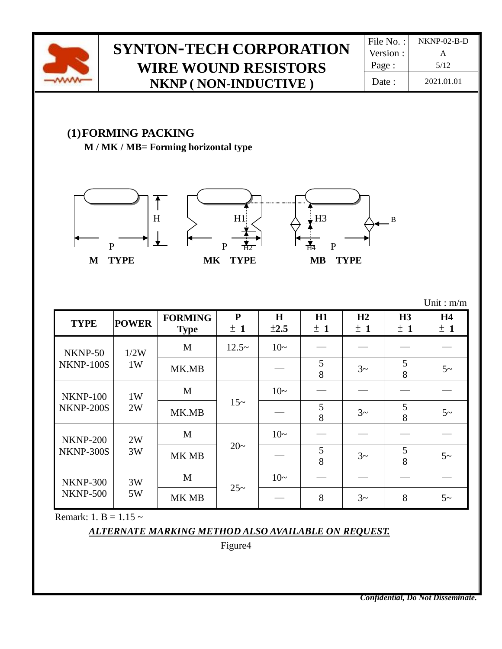

Version : Page : 5/12 Date : 2021.01.01

### **(1)FORMING PACKING**

**M / MK / MB= Forming horizontal type**







| <b>TYPE</b>                        | <b>POWER</b> | <b>FORMING</b><br><b>Type</b> | ${\bf P}$<br>± 1 | H<br>$\pm 2.5$ | H1<br>± 1 | H2<br>± 1 | H3<br>±1 | <b>H4</b><br>±1 |
|------------------------------------|--------------|-------------------------------|------------------|----------------|-----------|-----------|----------|-----------------|
| NKNP-50                            | 1/2W         | M                             | $12.5-$          | $10-$          |           |           |          |                 |
| NKNP-100S                          | 1W           | MK.MB                         |                  |                | 5<br>8    | $3\sim$   | 5<br>8   | $5-$            |
| <b>NKNP-100</b>                    | 1W<br>2W     | M                             |                  | $10-$          |           |           |          |                 |
| NKNP-200S                          |              | MK.MB                         | $15-$            |                | 5<br>8    | $3\sim$   | 5<br>8   | $5-$            |
| <b>NKNP-200</b>                    | 2W           | M                             |                  | $10-$          |           |           |          |                 |
| NKNP-300S                          | 3W           | MK MB                         | $20-$            |                | 5<br>8    | $3\sim$   | 5<br>8   | $5\sim$         |
| <b>NKNP-300</b><br><b>NKNP-500</b> | 3W           | M                             |                  | $10-$          |           |           |          |                 |
|                                    | 5W           | MK MB                         | $25 -$           |                | 8         | $3\sim$   | 8        | $5-$            |

Unit : m/m

Remark: 1. B =  $1.15 \sim$ 

#### *ALTERNATE MARKING METHOD ALSO AVAILABLE ON REQUEST.*

Figure4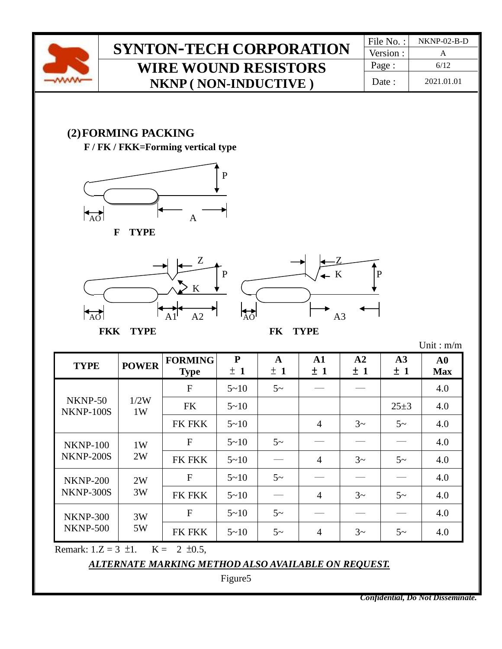

Version : Page : 6/12 Date : 2021.01.01

### **(2)FORMING PACKING**

**F / FK / FKK=Forming vertical type**









Unit : m/m

| <b>TYPE</b>                        | <b>POWER</b> | <b>FORMING</b><br><b>Type</b> | ${\bf P}$<br>± 1 | $\mathbf{A}$<br>±1 | $\mathbf{A1}$<br>±1 | A2<br>±1 | A3<br>±1   | ${\bf A0}$<br><b>Max</b> |
|------------------------------------|--------------|-------------------------------|------------------|--------------------|---------------------|----------|------------|--------------------------|
|                                    |              | F                             | $5 - 10$         | $5\sim$            |                     |          |            | 4.0                      |
| NKNP-50<br><b>NKNP-100S</b>        | 1/2W<br>1W   | <b>FK</b>                     | $5 - 10$         |                    |                     |          | $25 \pm 3$ | 4.0                      |
|                                    |              | FK FKK                        | $5 - 10$         |                    | $\overline{4}$      | $3\sim$  | $5\sim$    | 4.0                      |
| <b>NKNP-100</b>                    | 1W<br>2W     | F                             | $5 - 10$         | $5\sim$            |                     |          |            | 4.0                      |
| NKNP-200S                          |              | <b>FK FKK</b>                 | $5 - 10$         |                    | $\overline{4}$      | $3\sim$  | $5\sim$    | 4.0                      |
| <b>NKNP-200</b>                    | 2W           | F                             | $5 - 10$         | $5\sim$            |                     |          |            | 4.0                      |
| <b>NKNP-300S</b>                   | 3W           | <b>FK FKK</b>                 | $5 - 10$         |                    | $\overline{4}$      | $3\sim$  | $5\sim$    | 4.0                      |
| <b>NKNP-300</b><br><b>NKNP-500</b> | 3W           | $\mathbf{F}$                  | $5 - 10$         | $5\sim$            |                     |          |            | 4.0                      |
|                                    | 5W           | FK FKK                        | $5 - 10$         | $5\sim$            | $\overline{4}$      | $3\sim$  | $5\sim$    | 4.0                      |
| Domorly $17 - 2 +1$                |              | $V = 2 + 0.5$                 |                  |                    |                     |          |            |                          |

Remark:  $1.Z = 3 \pm 1$ .  $K = 2 \pm 0.5$ ,

#### *ALTERNATE MARKING METHOD ALSO AVAILABLE ON REQUEST.*

Figure5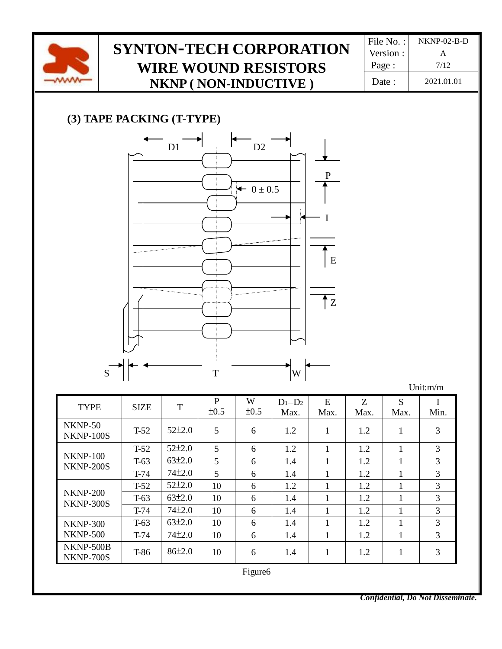

Version : Page : 7/12 Date : 2021.01.01

### **(3) TAPE PACKING (T-TYPE)**



| <b>TYPE</b>                         | SIZE   | T            | P<br>±0.5       | W<br>±0.5           | $D_1-D_2$<br>Max. | E<br>Max.    | Z<br>Max. | S<br>Max.    | Min. |
|-------------------------------------|--------|--------------|-----------------|---------------------|-------------------|--------------|-----------|--------------|------|
| NKNP-50<br><b>NKNP-100S</b>         | $T-52$ | $52 \pm 2.0$ | 5               | 6                   | 1.2               | $\mathbf{1}$ | 1.2       | 1            | 3    |
|                                     | $T-52$ | $52\pm2.0$   | $5\overline{)}$ | 6                   | 1.2               | 1            | 1.2       | 1            | 3    |
| <b>NKNP-100</b><br><b>NKNP-200S</b> | $T-63$ | 63±2.0       | 5               | 6                   | 1.4               | 1            | 1.2       | 1            | 3    |
|                                     | $T-74$ | $74 + 2.0$   | 5               | 6                   | 1.4               | 1            | 1.2       | 1            | 3    |
|                                     | $T-52$ | $52 \pm 2.0$ | 10              | 6                   | 1.2               | $\mathbf{1}$ | 1.2       | 1            | 3    |
| <b>NKNP-200</b><br><b>NKNP-300S</b> | $T-63$ | 63±2.0       | 10              | 6                   | 1.4               | $\mathbf{1}$ | 1.2       | 1            | 3    |
|                                     | $T-74$ | $74 + 2.0$   | 10              | 6                   | 1.4               | 1            | 1.2       | $\mathbf{1}$ | 3    |
| <b>NKNP-300</b>                     | $T-63$ | 63±2.0       | 10              | 6                   | 1.4               | 1            | 1.2       | 1            | 3    |
| <b>NKNP-500</b>                     | $T-74$ | $74 + 2.0$   | 10              | 6                   | 1.4               | $\mathbf{1}$ | 1.2       | 1            | 3    |
| NKNP-500B<br><b>NKNP-700S</b>       | T-86   | 86±2.0       | 10              | 6                   | 1.4               | $\mathbf{1}$ | 1.2       | 1            | 3    |
|                                     |        |              |                 | Figure <sub>6</sub> |                   |              |           |              |      |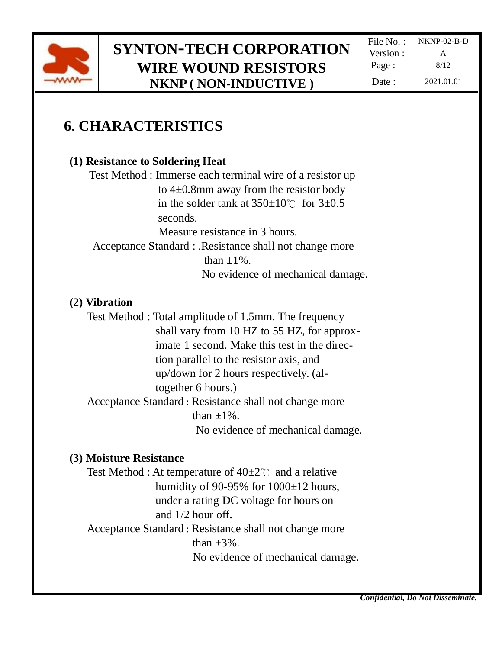

Version : Page:  $\vert$  8/12 Date: 2021.01.01

## **6. CHARACTERISTICS**

### **(1) Resistance to Soldering Heat**

Test Method : Immerse each terminal wire of a resistor up to 4±0.8mm away from the resistor body in the solder tank at  $350\pm10^{\circ}$  for  $3\pm0.5$  seconds. Measure resistance in 3 hours. Acceptance Standard : .Resistance shall not change more than  $\pm 1\%$ . No evidence of mechanical damage.

#### **(2) Vibration**

Test Method : Total amplitude of 1.5mm. The frequency shall vary from 10 HZ to 55 HZ, for approximate 1 second. Make this test in the direc tion parallel to the resistor axis, and up/down for 2 hours respectively. (al together 6 hours.) Acceptance Standard : Resistance shall not change more than  $\pm 1\%$ . No evidence of mechanical damage.

#### **(3) Moisture Resistance**

Test Method : At temperature of  $40\pm2^{\circ}$  and a relative humidity of 90-95% for  $1000\pm12$  hours, under a rating DC voltage for hours on and 1/2 hour off. Acceptance Standard : Resistance shall not change more than  $\pm 3\%$ . No evidence of mechanical damage.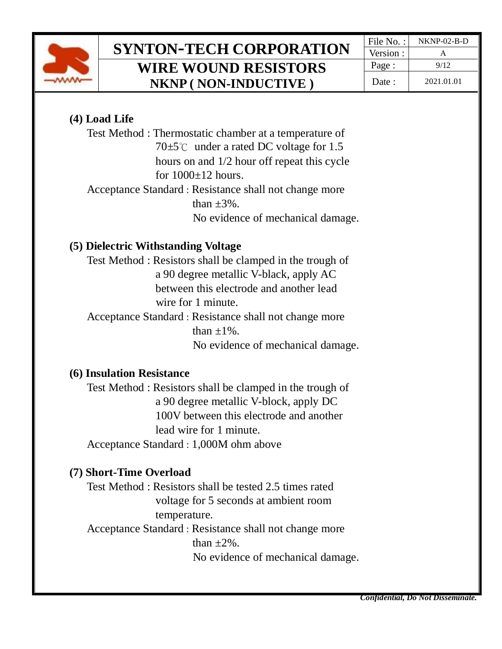

### **(4) Load Life**

Test Method : Thermostatic chamber at a temperature of 70 $±5^{\circ}$ C under a rated DC voltage for 1.5 hours on and 1/2 hour off repeat this cycle for  $1000+12$  hours. Acceptance Standard : Resistance shall not change more

than  $\pm 3\%$ .

No evidence of mechanical damage.

### **(5) Dielectric Withstanding Voltage**

Test Method : Resistors shall be clamped in the trough of a 90 degree metallic V-black, apply AC between this electrode and another lead wire for 1 minute.

 Acceptance Standard : Resistance shall not change more than  $+1\%$ . No evidence of mechanical damage.

### **(6) Insulation Resistance**

Test Method : Resistors shall be clamped in the trough of a 90 degree metallic V-block, apply DC 100V between this electrode and another lead wire for 1 minute. Acceptance Standard : 1,000M ohm above

### **(7) Short-Time Overload**

Test Method : Resistors shall be tested 2.5 times rated voltage for 5 seconds at ambient room temperature.

 Acceptance Standard : Resistance shall not change more than  $\pm 2\%$ . No evidence of mechanical damage.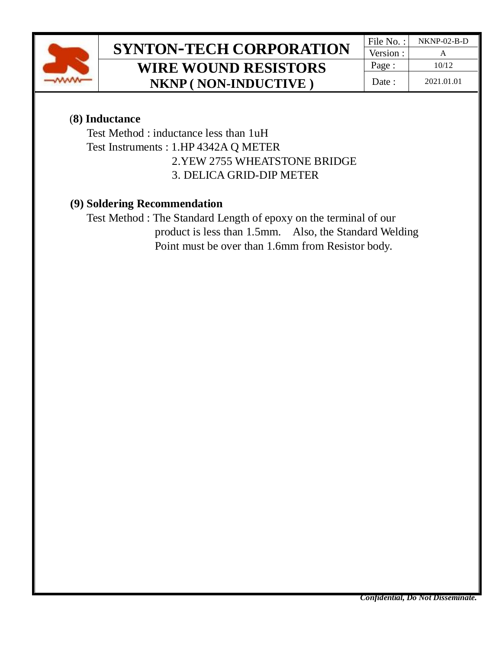

### (**8) Inductance**

Test Method : inductance less than 1uH Test Instruments : 1.HP 4342A Q METER

2.YEW 2755 WHEATSTONE BRIDGE

3. DELICA GRID-DIP METER

### **(9) Soldering Recommendation**

Test Method : The Standard Length of epoxy on the terminal of our product is less than 1.5mm. Also, the Standard Welding Point must be over than 1.6mm from Resistor body.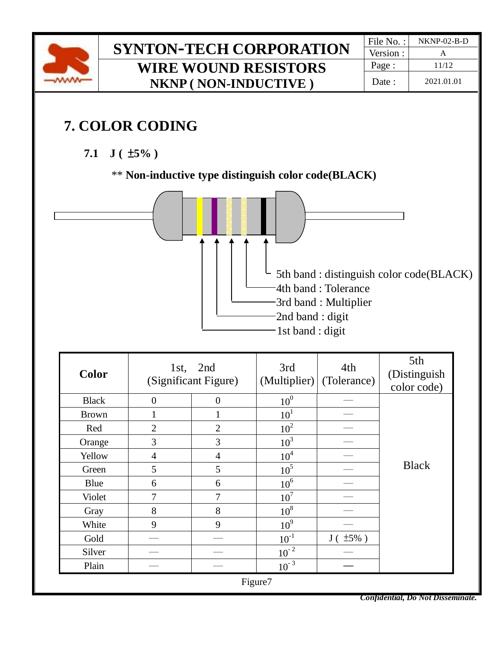

# **7. COLOR CODING**

**7.1 J (** ±**5% )**

### \*\* **Non-inductive type distinguish color code(BLACK)**



| <b>Color</b> | 1st,             | 2nd<br>(Significant Figure) | 3rd<br>(Multiplier) | 4th<br>(Tolerance) | 5th<br>(Distinguish<br>color code) |  |  |  |  |
|--------------|------------------|-----------------------------|---------------------|--------------------|------------------------------------|--|--|--|--|
| <b>Black</b> | $\boldsymbol{0}$ | $\boldsymbol{0}$            | 10 <sup>0</sup>     |                    |                                    |  |  |  |  |
| <b>Brown</b> | 1                | 1                           | 10 <sup>1</sup>     |                    |                                    |  |  |  |  |
| Red          | $\overline{2}$   | $\overline{2}$              | 10 <sup>2</sup>     |                    |                                    |  |  |  |  |
| Orange       | 3                | 3                           | $10^3$              |                    |                                    |  |  |  |  |
| Yellow       | $\overline{4}$   | $\overline{4}$              | 10 <sup>4</sup>     |                    |                                    |  |  |  |  |
| Green        | 5                | 5                           | 10 <sup>5</sup>     |                    | <b>Black</b>                       |  |  |  |  |
| Blue         | 6                | 6                           | 10 <sup>6</sup>     |                    |                                    |  |  |  |  |
| Violet       | 7                | 7                           | 10 <sup>7</sup>     |                    |                                    |  |  |  |  |
| Gray         | 8                | 8                           | $10^8$              |                    |                                    |  |  |  |  |
| White        | 9                | 9                           | 10 <sup>9</sup>     |                    |                                    |  |  |  |  |
| Gold         |                  |                             | $10^{-1}$           | $\pm 5\%$ )<br>J(  |                                    |  |  |  |  |
| Silver       |                  |                             | $10^{-2}$           |                    |                                    |  |  |  |  |
| Plain        |                  |                             | $10^{-3}$           |                    |                                    |  |  |  |  |
| Figure7      |                  |                             |                     |                    |                                    |  |  |  |  |